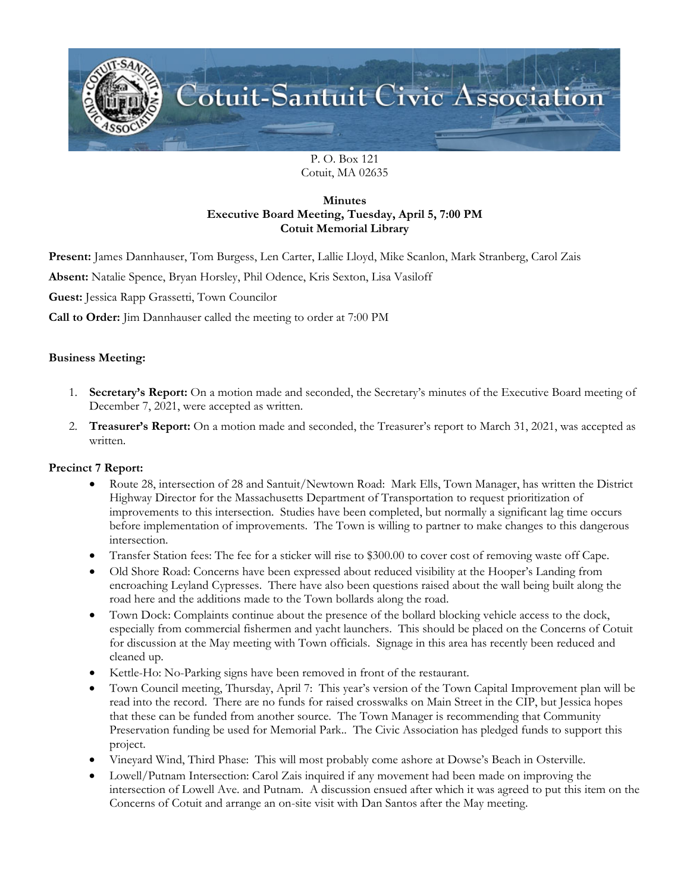

P. O. Box 121 Cotuit, MA 02635

# **Minutes Executive Board Meeting, Tuesday, April 5, 7:00 PM Cotuit Memorial Library**

**Present:** James Dannhauser, Tom Burgess, Len Carter, Lallie Lloyd, Mike Scanlon, Mark Stranberg, Carol Zais

**Absent:** Natalie Spence, Bryan Horsley, Phil Odence, Kris Sexton, Lisa Vasiloff

**Guest:** Jessica Rapp Grassetti, Town Councilor

**Call to Order:** Jim Dannhauser called the meeting to order at 7:00 PM

### **Business Meeting:**

- 1. **Secretary's Report:** On a motion made and seconded, the Secretary's minutes of the Executive Board meeting of December 7, 2021, were accepted as written.
- 2. **Treasurer's Report:** On a motion made and seconded, the Treasurer's report to March 31, 2021, was accepted as written.

#### **Precinct 7 Report:**

- Route 28, intersection of 28 and Santuit/Newtown Road: Mark Ells, Town Manager, has written the District Highway Director for the Massachusetts Department of Transportation to request prioritization of improvements to this intersection. Studies have been completed, but normally a significant lag time occurs before implementation of improvements. The Town is willing to partner to make changes to this dangerous intersection.
- Transfer Station fees: The fee for a sticker will rise to \$300.00 to cover cost of removing waste off Cape.
- Old Shore Road: Concerns have been expressed about reduced visibility at the Hooper's Landing from encroaching Leyland Cypresses. There have also been questions raised about the wall being built along the road here and the additions made to the Town bollards along the road.
- Town Dock: Complaints continue about the presence of the bollard blocking vehicle access to the dock, especially from commercial fishermen and yacht launchers. This should be placed on the Concerns of Cotuit for discussion at the May meeting with Town officials. Signage in this area has recently been reduced and cleaned up.
- Kettle-Ho: No-Parking signs have been removed in front of the restaurant.
- Town Council meeting, Thursday, April 7: This year's version of the Town Capital Improvement plan will be read into the record. There are no funds for raised crosswalks on Main Street in the CIP, but Jessica hopes that these can be funded from another source. The Town Manager is recommending that Community Preservation funding be used for Memorial Park.. The Civic Association has pledged funds to support this project.
- Vineyard Wind, Third Phase: This will most probably come ashore at Dowse's Beach in Osterville.
- Lowell/Putnam Intersection: Carol Zais inquired if any movement had been made on improving the intersection of Lowell Ave. and Putnam. A discussion ensued after which it was agreed to put this item on the Concerns of Cotuit and arrange an on-site visit with Dan Santos after the May meeting.